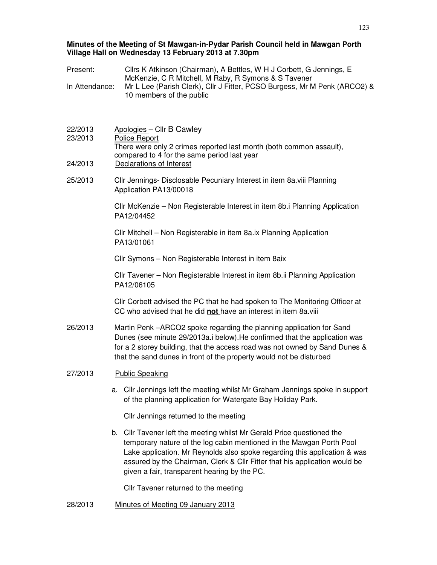### **Minutes of the Meeting of St Mawgan-in-Pydar Parish Council held in Mawgan Porth Village Hall on Wednesday 13 February 2013 at 7.30pm**

| Present:           | Cllrs K Atkinson (Chairman), A Bettles, W H J Corbett, G Jennings, E                                                                                                                                                                                                                                                                                      |  |  |
|--------------------|-----------------------------------------------------------------------------------------------------------------------------------------------------------------------------------------------------------------------------------------------------------------------------------------------------------------------------------------------------------|--|--|
| In Attendance:     | McKenzie, C R Mitchell, M Raby, R Symons & S Tavener<br>Mr L Lee (Parish Clerk), Cllr J Fitter, PCSO Burgess, Mr M Penk (ARCO2) &<br>10 members of the public                                                                                                                                                                                             |  |  |
|                    |                                                                                                                                                                                                                                                                                                                                                           |  |  |
| 22/2013<br>23/2013 | Apologies - Cllr B Cawley<br>Police Report<br>There were only 2 crimes reported last month (both common assault),                                                                                                                                                                                                                                         |  |  |
| 24/2013            | compared to 4 for the same period last year<br>Declarations of Interest                                                                                                                                                                                                                                                                                   |  |  |
| 25/2013            | Cllr Jennings- Disclosable Pecuniary Interest in item 8a viii Planning<br>Application PA13/00018                                                                                                                                                                                                                                                          |  |  |
|                    | Cllr McKenzie - Non Registerable Interest in item 8b.i Planning Application<br>PA12/04452                                                                                                                                                                                                                                                                 |  |  |
|                    | Cllr Mitchell - Non Registerable in item 8a.ix Planning Application<br>PA13/01061                                                                                                                                                                                                                                                                         |  |  |
|                    | Cllr Symons - Non Registerable Interest in item 8aix                                                                                                                                                                                                                                                                                                      |  |  |
|                    | Cllr Tavener - Non Registerable Interest in item 8b.ii Planning Application<br>PA12/06105                                                                                                                                                                                                                                                                 |  |  |
|                    | Cllr Corbett advised the PC that he had spoken to The Monitoring Officer at<br>CC who advised that he did not have an interest in item 8a.viii                                                                                                                                                                                                            |  |  |
| 26/2013            | Martin Penk -ARCO2 spoke regarding the planning application for Sand<br>Dunes (see minute 29/2013a.i below). He confirmed that the application was<br>for a 2 storey building, that the access road was not owned by Sand Dunes &<br>that the sand dunes in front of the property would not be disturbed                                                  |  |  |
| 27/2013            | <b>Public Speaking</b>                                                                                                                                                                                                                                                                                                                                    |  |  |
|                    | a. Cllr Jennings left the meeting whilst Mr Graham Jennings spoke in support<br>of the planning application for Watergate Bay Holiday Park.                                                                                                                                                                                                               |  |  |
|                    | Cllr Jennings returned to the meeting                                                                                                                                                                                                                                                                                                                     |  |  |
|                    | b. Cllr Tavener left the meeting whilst Mr Gerald Price questioned the<br>temporary nature of the log cabin mentioned in the Mawgan Porth Pool<br>Lake application. Mr Reynolds also spoke regarding this application & was<br>assured by the Chairman, Clerk & Cllr Fitter that his application would be<br>given a fair, transparent hearing by the PC. |  |  |
|                    | Cllr Tavener returned to the meeting                                                                                                                                                                                                                                                                                                                      |  |  |
| 28/2013            | Minutes of Meeting 09 January 2013                                                                                                                                                                                                                                                                                                                        |  |  |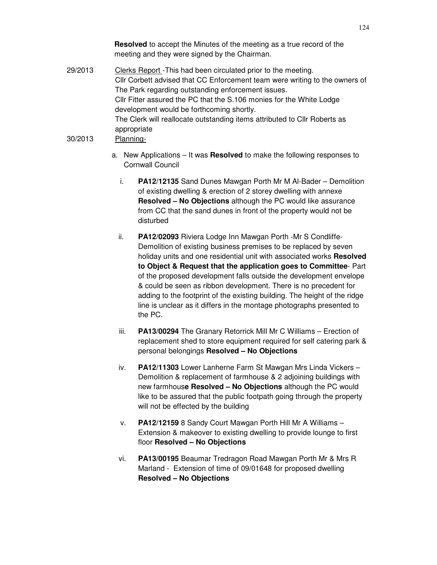**Resolved** to accept the Minutes of the meeting as a true record of the meeting and they were signed by the Chairman.

- 29/2013 Clerks Report This had been circulated prior to the meeting. Cllr Corbett advised that CC Enforcement team were writing to the owners of The Park regarding outstanding enforcement issues. Cllr Fitter assured the PC that the S.106 monies for the White Lodge development would be forthcoming shortly. The Clerk will reallocate outstanding items attributed to Cllr Roberts as appropriate 30/2013 Planning
	- a. New Applications It was **Resolved** to make the following responses to Cornwall Council
		- i. **PA12/12135** Sand Dunes Mawgan Porth Mr M Al-Bader Demolition of existing dwelling & erection of 2 storey dwelling with annexe **Resolved – No Objections** although the PC would like assurance from CC that the sand dunes in front of the property would not be disturbed
		- ii. **PA12/02093** Riviera Lodge Inn Mawgan Porth -Mr S Condliffe-Demolition of existing business premises to be replaced by seven holiday units and one residential unit with associated works **Resolved to Object & Request that the application goes to Committee**- Part of the proposed development falls outside the development envelope & could be seen as ribbon development. There is no precedent for adding to the footprint of the existing building. The height of the ridge line is unclear as it differs in the montage photographs presented to the PC.
		- iii. **PA13/00294** The Granary Retorrick Mill Mr C Williams Erection of replacement shed to store equipment required for self catering park & personal belongings **Resolved – No Objections**
		- iv. **PA12/11303** Lower Lanherne Farm St Mawgan Mrs Linda Vickers Demolition & replacement of farmhouse & 2 adjoining buildings with new farmhous**e Resolved – No Objections** although the PC would like to be assured that the public footpath going through the property will not be effected by the building
		- v. **PA12/12159** 8 Sandy Court Mawgan Porth Hill Mr A Williams Extension & makeover to existing dwelling to provide lounge to first floor **Resolved – No Objections**
		- vi. **PA13/00195** Beaumar Tredragon Road Mawgan Porth Mr & Mrs R Marland - Extension of time of 09/01648 for proposed dwelling **Resolved – No Objections**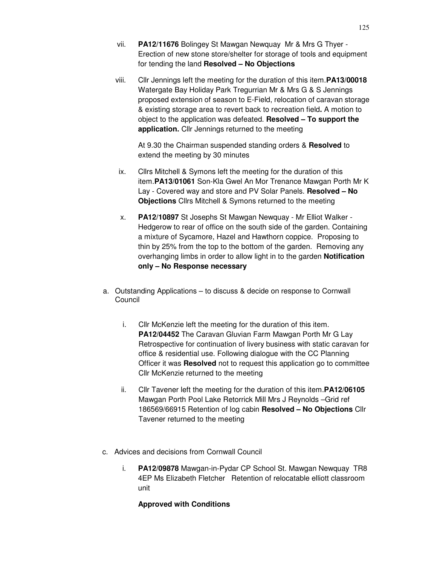- vii. **PA12/11676** Bolingey St Mawgan Newquay Mr & Mrs G Thyer Erection of new stone store/shelter for storage of tools and equipment for tending the land **Resolved – No Objections**
- viii. Cllr Jennings left the meeting for the duration of this item.**PA13/00018** Watergate Bay Holiday Park Tregurrian Mr & Mrs G & S Jennings proposed extension of season to E-Field, relocation of caravan storage & existing storage area to revert back to recreation field**.** A motion to object to the application was defeated. **Resolved – To support the application.** Cllr Jennings returned to the meeting

At 9.30 the Chairman suspended standing orders & **Resolved** to extend the meeting by 30 minutes

- ix. Cllrs Mitchell & Symons left the meeting for the duration of this item.**PA13/01061** Son-Kla Gwel An Mor Trenance Mawgan Porth Mr K Lay - Covered way and store and PV Solar Panels. **Resolved – No Objections** Cllrs Mitchell & Symons returned to the meeting
- x. **PA12/10897** St Josephs St Mawgan Newquay Mr Elliot Walker Hedgerow to rear of office on the south side of the garden. Containing a mixture of Sycamore, Hazel and Hawthorn coppice. Proposing to thin by 25% from the top to the bottom of the garden. Removing any overhanging limbs in order to allow light in to the garden **Notification only – No Response necessary**
- a. Outstanding Applications to discuss & decide on response to Cornwall Council
	- i. Cllr McKenzie left the meeting for the duration of this item. **PA12/04452** The Caravan Gluvian Farm Mawgan Porth Mr G Lay Retrospective for continuation of livery business with static caravan for office & residential use. Following dialogue with the CC Planning Officer it was **Resolved** not to request this application go to committee Cllr McKenzie returned to the meeting
	- ii. Cllr Tavener left the meeting for the duration of this item.**PA12/06105**  Mawgan Porth Pool Lake Retorrick Mill Mrs J Reynolds –Grid ref 186569/66915 Retention of log cabin **Resolved – No Objections** Cllr Tavener returned to the meeting
- c. Advices and decisions from Cornwall Council
	- i. **PA12/09878** Mawgan-in-Pydar CP School St. Mawgan Newquay TR8 4EP Ms Elizabeth Fletcher Retention of relocatable elliott classroom unit

### **Approved with Conditions**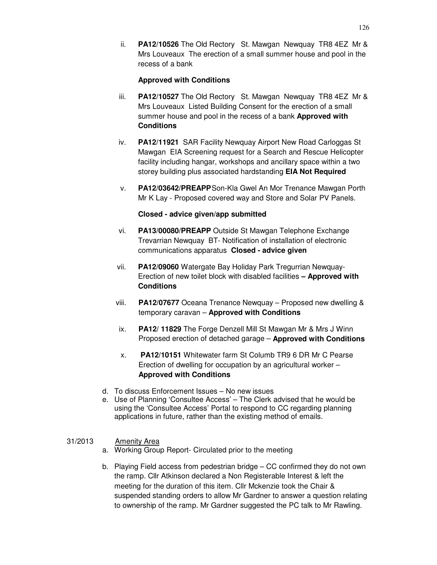ii. **PA12/10526** The Old Rectory St. Mawgan Newquay TR8 4EZ Mr & Mrs Louveaux The erection of a small summer house and pool in the recess of a bank

# **Approved with Conditions**

- iii. **PA12/10527** The Old Rectory St. Mawgan Newquay TR8 4EZ Mr & Mrs Louveaux Listed Building Consent for the erection of a small summer house and pool in the recess of a bank **Approved with Conditions**
- iv. **PA12/11921** SAR Facility Newquay Airport New Road Carloggas St Mawgan EIA Screening request for a Search and Rescue Helicopter facility including hangar, workshops and ancillary space within a two storey building plus associated hardstanding **EIA Not Required**
- v. **PA12/03642/PREAPP** Son-Kla Gwel An Mor Trenance Mawgan Porth Mr K Lay - Proposed covered way and Store and Solar PV Panels.

### **Closed - advice given/app submitted**

- vi. **PA13/00080/PREAPP** Outside St Mawgan Telephone Exchange Trevarrian Newquay BT- Notification of installation of electronic communications apparatus **Closed - advice given**
- vii. **PA12/09060** Watergate Bay Holiday Park Tregurrian Newquay-Erection of new toilet block with disabled facilities **– Approved with Conditions**
- viii. **PA12/07677** Oceana Trenance Newquay Proposed new dwelling & temporary caravan – **Approved with Conditions**
- ix. **PA12/ 11829** The Forge Denzell Mill St Mawgan Mr & Mrs J Winn Proposed erection of detached garage – **Approved with Conditions**
- x. **PA12/10151** Whitewater farm St Columb TR9 6 DR Mr C Pearse Erection of dwelling for occupation by an agricultural worker – **Approved with Conditions**
- d. To discuss Enforcement Issues No new issues
- e. Use of Planning 'Consultee Access' The Clerk advised that he would be using the 'Consultee Access' Portal to respond to CC regarding planning applications in future, rather than the existing method of emails.

# 31/2013 Amenity Area

- a. Working Group Report- Circulated prior to the meeting
- b. Playing Field access from pedestrian bridge CC confirmed they do not own the ramp. Cllr Atkinson declared a Non Registerable Interest & left the meeting for the duration of this item. Cllr Mckenzie took the Chair & suspended standing orders to allow Mr Gardner to answer a question relating to ownership of the ramp. Mr Gardner suggested the PC talk to Mr Rawling.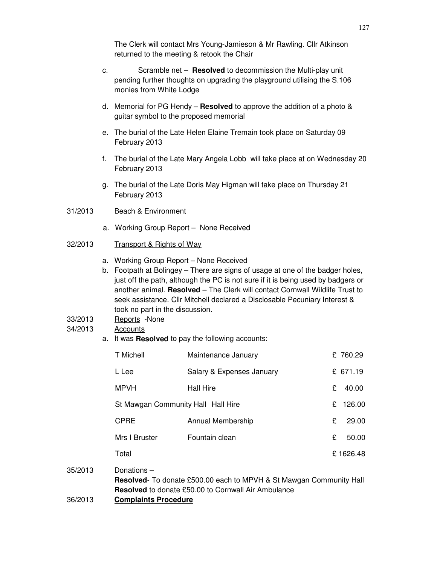The Clerk will contact Mrs Young-Jamieson & Mr Rawling. Cllr Atkinson returned to the meeting & retook the Chair

- c. Scramble net **Resolved** to decommission the Multi-play unit pending further thoughts on upgrading the playground utilising the S.106 monies from White Lodge
- d. Memorial for PG Hendy – **Resolved** to approve the addition of a photo & guitar symbol to the proposed memorial
- e. The burial of the Late Helen Elaine Tremain took place on Saturday 09 February 2013
- f. The burial of the Late Mary Angela Lobb will take place at on Wednesday 20 February 2013
- g. The burial of the Late Doris May Higman will take place on Thursday 21 February 2013
- 31/2013 Beach & Environment
	- a. Working Group Report None Received
- 32/2013 Transport & Rights of Way
	- a. Working Group Report None Received
	- b. Footpath at Bolingey There are signs of usage at one of the badger holes, just off the path, although the PC is not sure if it is being used by badgers or another animal. **Resolved** – The Clerk will contact Cornwall Wildlife Trust to seek assistance. Cllr Mitchell declared a Disclosable Pecuniary Interest & took no part in the discussion.
- 33/2013 Reports -None

#### 34/2013 Accounts

a. It was **Resolved** to pay the following accounts:

| T Michell                          | Maintenance January       |    | £760.29   |
|------------------------------------|---------------------------|----|-----------|
| L Lee                              | Salary & Expenses January |    | £ 671.19  |
| <b>MPVH</b>                        | <b>Hall Hire</b>          | £  | 40.00     |
| St Mawgan Community Hall Hall Hire |                           | £. | 126.00    |
| <b>CPRE</b>                        | Annual Membership         | £  | 29.00     |
| Mrs I Bruster                      | Fountain clean            | £  | 50.00     |
| Total                              |                           |    | £ 1626.48 |
|                                    |                           |    |           |

- 35/2013 Donations **Resolved**- To donate £500.00 each to MPVH & St Mawgan Community Hall **Resolved** to donate £50.00 to Cornwall Air Ambulance
- 36/2013 **Complaints Procedure**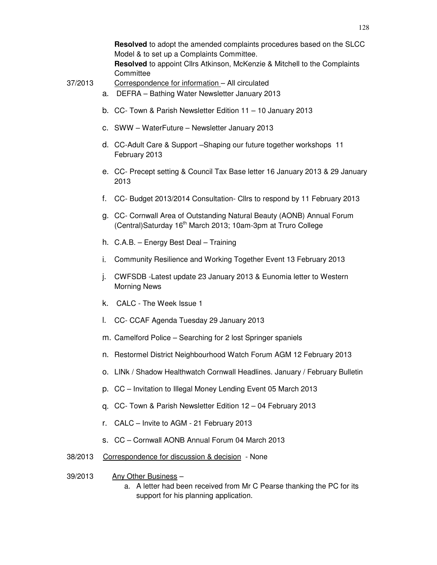**Resolved** to adopt the amended complaints procedures based on the SLCC Model & to set up a Complaints Committee. **Resolved** to appoint Cllrs Atkinson, McKenzie & Mitchell to the Complaints

**Committee** 

37/2013 Correspondence for information – All circulated

- a. DEFRA Bathing Water Newsletter January 2013
- b. CC- Town & Parish Newsletter Edition 11 10 January 2013
- c. SWW WaterFuture Newsletter January 2013
- d. CC-Adult Care & Support –Shaping our future together workshops 11 February 2013
- e. CC- Precept setting & Council Tax Base letter 16 January 2013 & 29 January 2013
- f. CC- Budget 2013/2014 Consultation- Cllrs to respond by 11 February 2013
- g. CC- Cornwall Area of Outstanding Natural Beauty (AONB) Annual Forum (Central)Saturday 16<sup>th</sup> March 2013; 10am-3pm at Truro College
- h. C.A.B. Energy Best Deal Training
- i. Community Resilience and Working Together Event 13 February 2013
- j. CWFSDB -Latest update 23 January 2013 & Eunomia letter to Western Morning News
- k. CALC The Week Issue 1
- l. CC- CCAF Agenda Tuesday 29 January 2013
- m. Camelford Police Searching for 2 lost Springer spaniels
- n. Restormel District Neighbourhood Watch Forum AGM 12 February 2013
- o. LINk / Shadow Healthwatch Cornwall Headlines. January / February Bulletin
- p. CC Invitation to Illegal Money Lending Event 05 March 2013
- q. CC- Town & Parish Newsletter Edition 12 04 February 2013
- r. CALC Invite to AGM 21 February 2013
- s. CC Cornwall AONB Annual Forum 04 March 2013
- 38/2013 Correspondence for discussion & decision None
- 39/2013 Any Other Business
	- a. A letter had been received from Mr C Pearse thanking the PC for its support for his planning application.